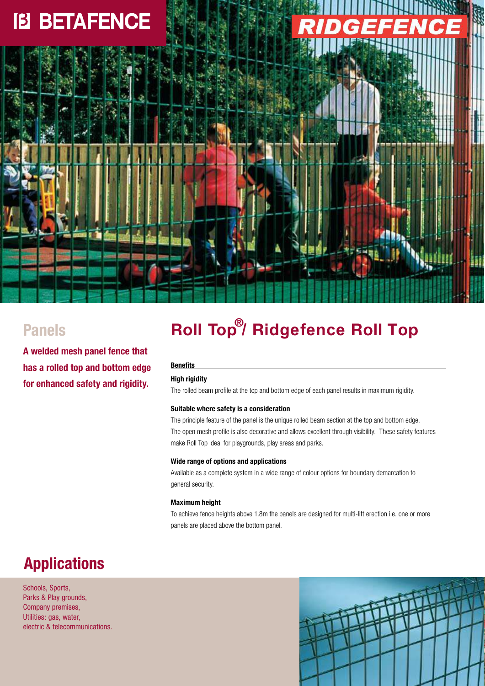# **IB BETAFENCE**

### **Panels**

**A welded mesh panel fence that has a rolled top and bottom edge for enhanced safety and rigidity.**

## **Roll Top**<sup>®</sup>/ Ridgefence Roll Top

#### **Benefits**

### **High rigidity**

The rolled beam profile at the top and bottom edge of each panel results in maximum rigidity.

#### **Suitable where safety is a consideration**

The principle feature of the panel is the unique rolled beam section at the top and bottom edge. The open mesh profile is also decorative and allows excellent through visibility. These safety features make Roll Top ideal for playgrounds, play areas and parks.

#### **Wide range of options and applications**

Available as a complete system in a wide range of colour options for boundary demarcation to general security.

#### **Maximum height**

To achieve fence heights above 1.8m the panels are designed for multi-lift erection i.e. one or more panels are placed above the bottom panel.

## **Applications**

Schools, Sports, Parks & Play grounds, Company premises, Utilities: gas, water, electric & telecommunications.